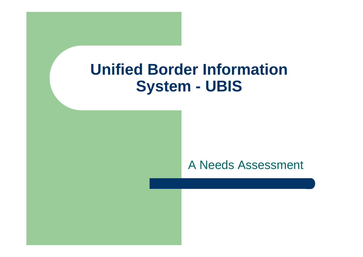### **Unified Border Information System - UBIS**

#### A Needs Assessment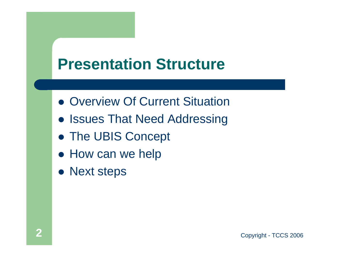## **Presentation Structure**

- Overview Of Current Situation
- **Issues That Need Addressing**
- The UBIS Concept
- How can we help
- Next steps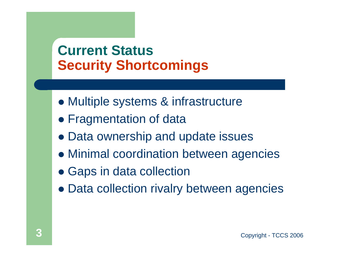#### **Current Status Security Shortcomings**

- Multiple systems & infrastructure
- Fragmentation of data
- Data ownership and update issues
- Minimal coordination between agencies
- Gaps in data collection
- Data collection rivalry between agencies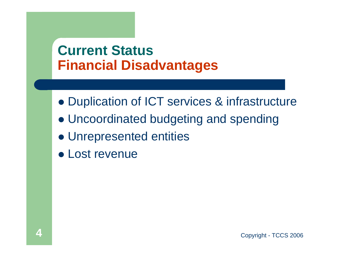#### **Current Status Financial Disadvantages**

- Duplication of ICT services & infrastructure
- Uncoordinated budgeting and spending
- Unrepresented entities
- Lost revenue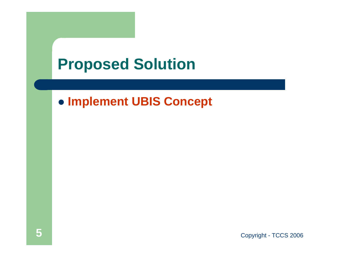## **Proposed Solution**

#### **• Implement UBIS Concept**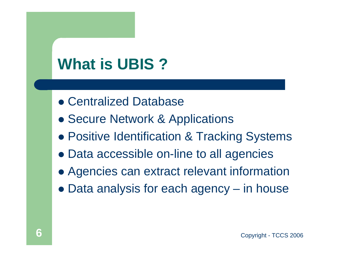# **What is UBIS ?**

- **Centralized Database**
- **Secure Network & Applications**
- **Positive Identification & Tracking Systems**
- Data accessible on-line to all agencies
- Agencies can extract relevant information
- Data analysis for each agency in house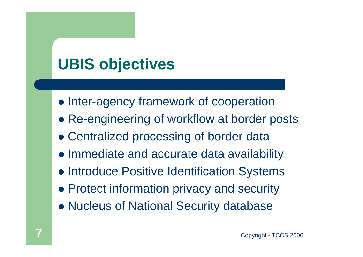# **UBIS objectives**

- Inter-agency framework of cooperation
- Re-engineering of workflow at border posts
- Centralized processing of border data
- Immediate and accurate data availability
- **Introduce Positive Identification Systems**
- **Protect information privacy and security**
- Nucleus of National Security database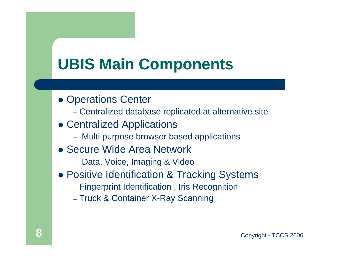## **UBIS Main Components**

- Operations Center
	- Centralized database replicated at alternative site
- Centralized Applications
	- Multi purpose browser based applications
- Secure Wide Area Network
	- Data, Voice, Imaging & Video
- **Positive Identification & Tracking Systems** 
	- Fingerprint Identification , Iris Recognition
	- Truck & Container X-Ray Scanning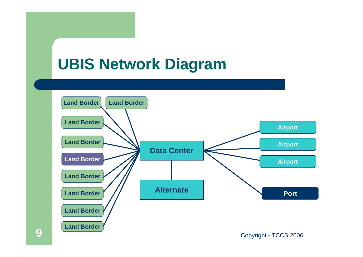## **UBIS Network Diagram**

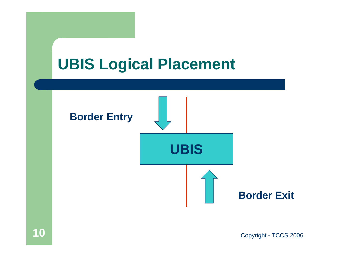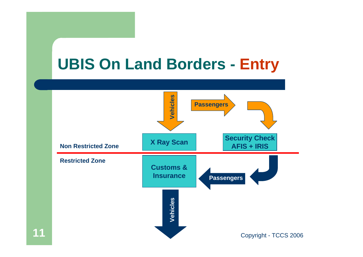## **UBIS On Land Borders - Entry**



**11**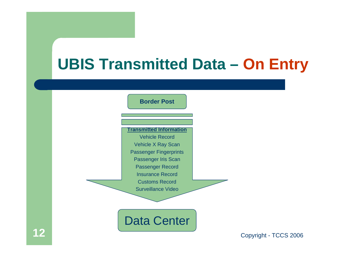# **UBIS Transmitted Data – On Entry**

| <b>Border Post</b>             |                       |
|--------------------------------|-----------------------|
|                                |                       |
| <b>Fransmitted Information</b> |                       |
| <b>Vehicle Record</b>          |                       |
| <b>Vehicle X Ray Scan</b>      |                       |
| <b>Passenger Fingerprints</b>  |                       |
| Passenger Iris Scan            |                       |
| <b>Passenger Record</b>        |                       |
| <b>Insurance Record</b>        |                       |
| <b>Customs Record</b>          |                       |
| <b>Surveillance Video</b>      |                       |
|                                |                       |
|                                |                       |
| <b>Data Center</b>             |                       |
|                                | Copyright - TCCS 2006 |
|                                |                       |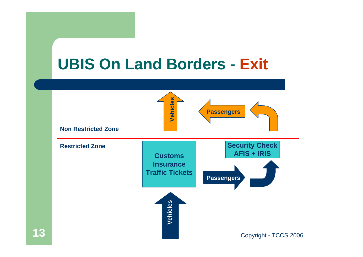

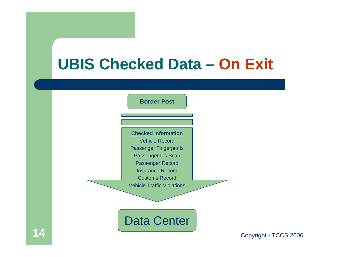# **UBIS Checked Data – On Exit**

|   | <b>Border Post</b>                                                                                                                                                                                                              |                       |
|---|---------------------------------------------------------------------------------------------------------------------------------------------------------------------------------------------------------------------------------|-----------------------|
|   | <b>Checked Information</b><br><b>Vehicle Record</b><br><b>Passenger Fingerprints</b><br>Passenger Iris Scan<br><b>Passenger Record</b><br><b>Insurance Record</b><br><b>Customs Record</b><br><b>Vehicle Traffic Violations</b> |                       |
| ◢ | <b>Data Center</b>                                                                                                                                                                                                              | Copyright - TCCS 2006 |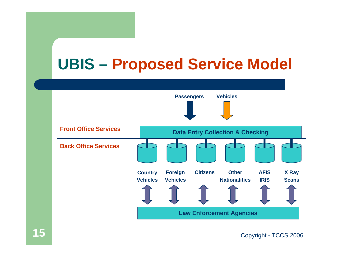# **UBIS – Proposed Service Model**



Copyright - TCCS 2006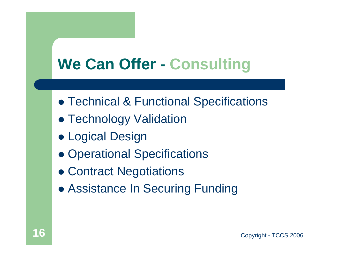# **We Can Offer - Consulting**

- **Technical & Functional Specifications**
- Technology Validation
- **Logical Design**
- Operational Specifications
- Contract Negotiations
- **Assistance In Securing Funding**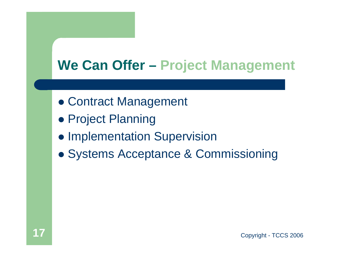#### **We Can Offer – Project Management**

- **Contract Management**
- **Project Planning**
- **Implementation Supervision**
- **Systems Acceptance & Commissioning**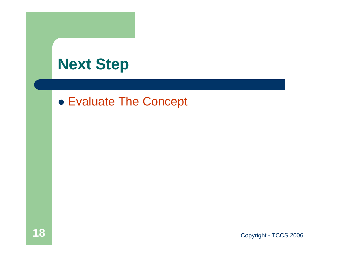#### **Next Step**

#### **• Evaluate The Concept**